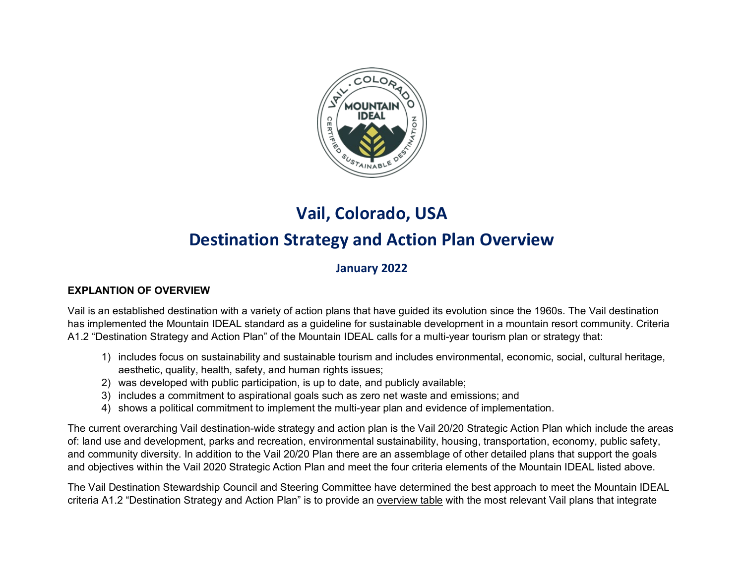

## **Vail, Colorado, USA Destination Strategy and Action Plan Overview**

## **January 2022**

## **EXPLANTION OF OVERVIEW**

Vail is an established destination with a variety of action plans that have guided its evolution since the 1960s. The Vail destination has implemented the Mountain IDEAL standard as a guideline for sustainable development in a mountain resort community. Criteria A1.2 "Destination Strategy and Action Plan" of the Mountain IDEAL calls for a multi-year tourism plan or strategy that:

- 1) includes focus on sustainability and sustainable tourism and includes environmental, economic, social, cultural heritage, aesthetic, quality, health, safety, and human rights issues;
- 2) was developed with public participation, is up to date, and publicly available;
- 3) includes a commitment to aspirational goals such as zero net waste and emissions; and
- 4) shows a political commitment to implement the multi-year plan and evidence of implementation.

The current overarching Vail destination-wide strategy and action plan is the Vail 20/20 Strategic Action Plan which include the areas of: land use and development, parks and recreation, environmental sustainability, housing, transportation, economy, public safety, and community diversity. In addition to the Vail 20/20 Plan there are an assemblage of other detailed plans that support the goals and objectives within the Vail 2020 Strategic Action Plan and meet the four criteria elements of the Mountain IDEAL listed above.

The Vail Destination Stewardship Council and Steering Committee have determined the best approach to meet the Mountain IDEAL criteria A1.2 "Destination Strategy and Action Plan" is to provide an overview table with the most relevant Vail plans that integrate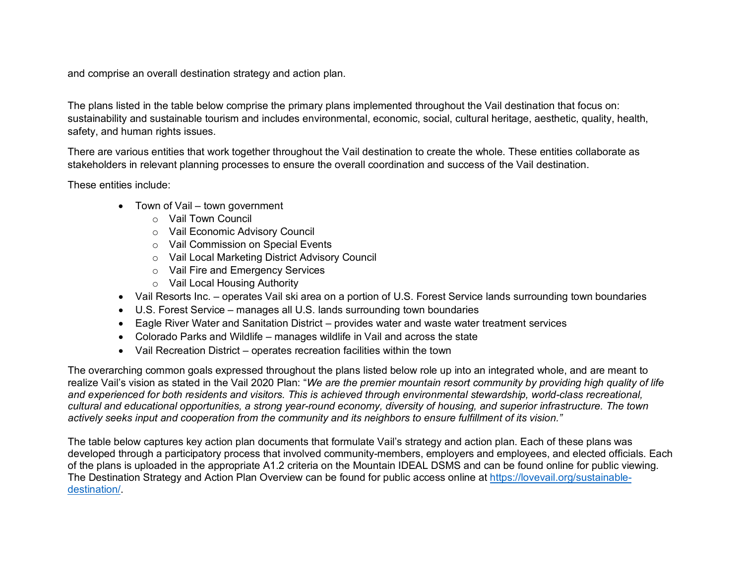and comprise an overall destination strategy and action plan.

The plans listed in the table below comprise the primary plans implemented throughout the Vail destination that focus on: sustainability and sustainable tourism and includes environmental, economic, social, cultural heritage, aesthetic, quality, health, safety, and human rights issues.

There are various entities that work together throughout the Vail destination to create the whole. These entities collaborate as stakeholders in relevant planning processes to ensure the overall coordination and success of the Vail destination.

These entities include:

- Town of Vail town government
	- o Vail Town Council
	- o Vail Economic Advisory Council
	- o Vail Commission on Special Events
	- o Vail Local Marketing District Advisory Council
	- o Vail Fire and Emergency Services
	- o Vail Local Housing Authority
- Vail Resorts Inc. operates Vail ski area on a portion of U.S. Forest Service lands surrounding town boundaries
- U.S. Forest Service manages all U.S. lands surrounding town boundaries
- Eagle River Water and Sanitation District provides water and waste water treatment services
- Colorado Parks and Wildlife manages wildlife in Vail and across the state
- Vail Recreation District operates recreation facilities within the town

The overarching common goals expressed throughout the plans listed below role up into an integrated whole, and are meant to realize Vail's vision as stated in the Vail 2020 Plan: "*We are the premier mountain resort community by providing high quality of life and experienced for both residents and visitors. This is achieved through environmental stewardship, world-class recreational, cultural and educational opportunities, a strong year-round economy, diversity of housing, and superior infrastructure. The town actively seeks input and cooperation from the community and its neighbors to ensure fulfillment of its vision."*

The table below captures key action plan documents that formulate Vail's strategy and action plan. Each of these plans was developed through a participatory process that involved community-members, employers and employees, and elected officials. Each of the plans is uploaded in the appropriate A1.2 criteria on the Mountain IDEAL DSMS and can be found online for public viewing. The Destination Strategy and Action Plan Overview can be found for public access online at [https://lovevail.org/sustainable](https://lovevail.org/sustainable-destination/)[destination/.](https://lovevail.org/sustainable-destination/)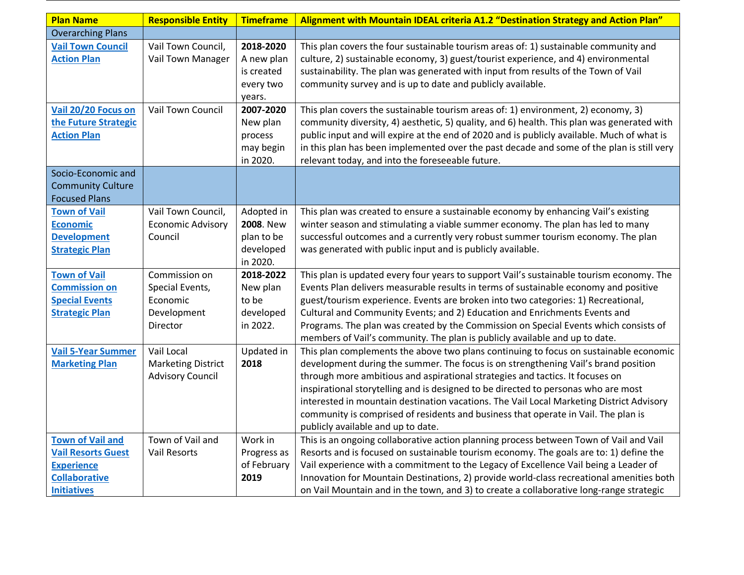| <b>Plan Name</b>                                                                                                        | <b>Responsible Entity</b>                                               | <b>Timeframe</b>                                                      | Alignment with Mountain IDEAL criteria A1.2 "Destination Strategy and Action Plan"                                                                                                                                                                                                                                                                                                                                                                                                                                                                                         |
|-------------------------------------------------------------------------------------------------------------------------|-------------------------------------------------------------------------|-----------------------------------------------------------------------|----------------------------------------------------------------------------------------------------------------------------------------------------------------------------------------------------------------------------------------------------------------------------------------------------------------------------------------------------------------------------------------------------------------------------------------------------------------------------------------------------------------------------------------------------------------------------|
| <b>Overarching Plans</b>                                                                                                |                                                                         |                                                                       |                                                                                                                                                                                                                                                                                                                                                                                                                                                                                                                                                                            |
| <b>Vail Town Council</b><br><b>Action Plan</b>                                                                          | Vail Town Council,<br>Vail Town Manager                                 | 2018-2020<br>A new plan<br>is created<br>every two<br>years.          | This plan covers the four sustainable tourism areas of: 1) sustainable community and<br>culture, 2) sustainable economy, 3) guest/tourist experience, and 4) environmental<br>sustainability. The plan was generated with input from results of the Town of Vail<br>community survey and is up to date and publicly available.                                                                                                                                                                                                                                             |
| Vail 20/20 Focus on<br>the Future Strategic<br><b>Action Plan</b>                                                       | Vail Town Council                                                       | 2007-2020<br>New plan<br>process<br>may begin<br>in 2020.             | This plan covers the sustainable tourism areas of: 1) environment, 2) economy, 3)<br>community diversity, 4) aesthetic, 5) quality, and 6) health. This plan was generated with<br>public input and will expire at the end of 2020 and is publicly available. Much of what is<br>in this plan has been implemented over the past decade and some of the plan is still very<br>relevant today, and into the foreseeable future.                                                                                                                                             |
| Socio-Economic and<br><b>Community Culture</b><br><b>Focused Plans</b>                                                  |                                                                         |                                                                       |                                                                                                                                                                                                                                                                                                                                                                                                                                                                                                                                                                            |
| <b>Town of Vail</b><br><b>Economic</b><br><b>Development</b><br><b>Strategic Plan</b>                                   | Vail Town Council,<br><b>Economic Advisory</b><br>Council               | Adopted in<br><b>2008. New</b><br>plan to be<br>developed<br>in 2020. | This plan was created to ensure a sustainable economy by enhancing Vail's existing<br>winter season and stimulating a viable summer economy. The plan has led to many<br>successful outcomes and a currently very robust summer tourism economy. The plan<br>was generated with public input and is publicly available.                                                                                                                                                                                                                                                    |
| <b>Town of Vail</b><br><b>Commission on</b><br><b>Special Events</b><br><b>Strategic Plan</b>                           | Commission on<br>Special Events,<br>Economic<br>Development<br>Director | 2018-2022<br>New plan<br>to be<br>developed<br>in 2022.               | This plan is updated every four years to support Vail's sustainable tourism economy. The<br>Events Plan delivers measurable results in terms of sustainable economy and positive<br>guest/tourism experience. Events are broken into two categories: 1) Recreational,<br>Cultural and Community Events; and 2) Education and Enrichments Events and<br>Programs. The plan was created by the Commission on Special Events which consists of<br>members of Vail's community. The plan is publicly available and up to date.                                                 |
| <b>Vail 5-Year Summer</b><br><b>Marketing Plan</b>                                                                      | Vail Local<br><b>Marketing District</b><br><b>Advisory Council</b>      | Updated in<br>2018                                                    | This plan complements the above two plans continuing to focus on sustainable economic<br>development during the summer. The focus is on strengthening Vail's brand position<br>through more ambitious and aspirational strategies and tactics. It focuses on<br>inspirational storytelling and is designed to be directed to personas who are most<br>interested in mountain destination vacations. The Vail Local Marketing District Advisory<br>community is comprised of residents and business that operate in Vail. The plan is<br>publicly available and up to date. |
| <b>Town of Vail and</b><br><b>Vail Resorts Guest</b><br><b>Experience</b><br><b>Collaborative</b><br><b>Initiatives</b> | Town of Vail and<br><b>Vail Resorts</b>                                 | Work in<br>Progress as<br>of February<br>2019                         | This is an ongoing collaborative action planning process between Town of Vail and Vail<br>Resorts and is focused on sustainable tourism economy. The goals are to: 1) define the<br>Vail experience with a commitment to the Legacy of Excellence Vail being a Leader of<br>Innovation for Mountain Destinations, 2) provide world-class recreational amenities both<br>on Vail Mountain and in the town, and 3) to create a collaborative long-range strategic                                                                                                            |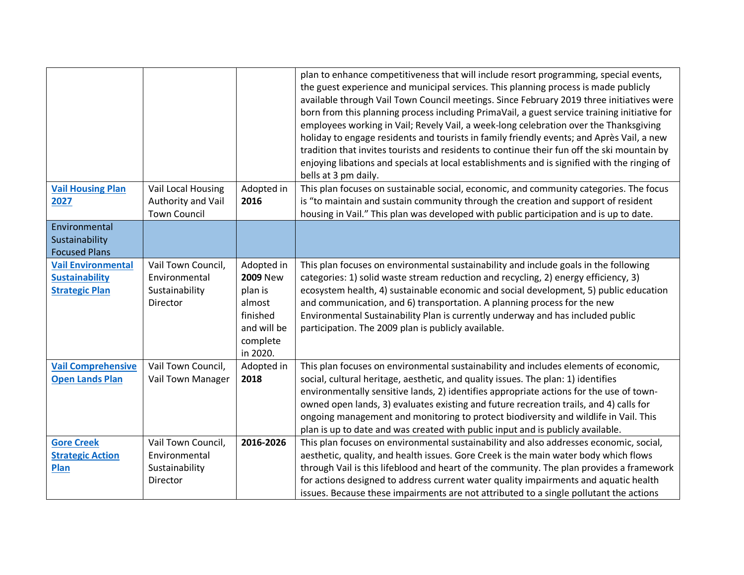|                                                |                                     |                               | plan to enhance competitiveness that will include resort programming, special events,<br>the guest experience and municipal services. This planning process is made publicly<br>available through Vail Town Council meetings. Since February 2019 three initiatives were<br>born from this planning process including PrimaVail, a guest service training initiative for<br>employees working in Vail; Revely Vail, a week-long celebration over the Thanksgiving<br>holiday to engage residents and tourists in family friendly events; and Après Vail, a new<br>tradition that invites tourists and residents to continue their fun off the ski mountain by<br>enjoying libations and specials at local establishments and is signified with the ringing of |
|------------------------------------------------|-------------------------------------|-------------------------------|---------------------------------------------------------------------------------------------------------------------------------------------------------------------------------------------------------------------------------------------------------------------------------------------------------------------------------------------------------------------------------------------------------------------------------------------------------------------------------------------------------------------------------------------------------------------------------------------------------------------------------------------------------------------------------------------------------------------------------------------------------------|
|                                                |                                     |                               | bells at 3 pm daily.                                                                                                                                                                                                                                                                                                                                                                                                                                                                                                                                                                                                                                                                                                                                          |
| <b>Vail Housing Plan</b>                       | Vail Local Housing                  | Adopted in                    | This plan focuses on sustainable social, economic, and community categories. The focus                                                                                                                                                                                                                                                                                                                                                                                                                                                                                                                                                                                                                                                                        |
| 2027                                           | Authority and Vail                  | 2016                          | is "to maintain and sustain community through the creation and support of resident                                                                                                                                                                                                                                                                                                                                                                                                                                                                                                                                                                                                                                                                            |
|                                                | <b>Town Council</b>                 |                               | housing in Vail." This plan was developed with public participation and is up to date.                                                                                                                                                                                                                                                                                                                                                                                                                                                                                                                                                                                                                                                                        |
| Environmental                                  |                                     |                               |                                                                                                                                                                                                                                                                                                                                                                                                                                                                                                                                                                                                                                                                                                                                                               |
| Sustainability                                 |                                     |                               |                                                                                                                                                                                                                                                                                                                                                                                                                                                                                                                                                                                                                                                                                                                                                               |
| <b>Focused Plans</b>                           |                                     |                               |                                                                                                                                                                                                                                                                                                                                                                                                                                                                                                                                                                                                                                                                                                                                                               |
| <b>Vail Environmental</b>                      | Vail Town Council,<br>Environmental | Adopted in<br><b>2009 New</b> | This plan focuses on environmental sustainability and include goals in the following                                                                                                                                                                                                                                                                                                                                                                                                                                                                                                                                                                                                                                                                          |
| <b>Sustainability</b><br><b>Strategic Plan</b> | Sustainability                      | plan is                       | categories: 1) solid waste stream reduction and recycling, 2) energy efficiency, 3)<br>ecosystem health, 4) sustainable economic and social development, 5) public education                                                                                                                                                                                                                                                                                                                                                                                                                                                                                                                                                                                  |
|                                                | Director                            | almost                        | and communication, and 6) transportation. A planning process for the new                                                                                                                                                                                                                                                                                                                                                                                                                                                                                                                                                                                                                                                                                      |
|                                                |                                     | finished                      | Environmental Sustainability Plan is currently underway and has included public                                                                                                                                                                                                                                                                                                                                                                                                                                                                                                                                                                                                                                                                               |
|                                                |                                     | and will be                   | participation. The 2009 plan is publicly available.                                                                                                                                                                                                                                                                                                                                                                                                                                                                                                                                                                                                                                                                                                           |
|                                                |                                     | complete                      |                                                                                                                                                                                                                                                                                                                                                                                                                                                                                                                                                                                                                                                                                                                                                               |
|                                                |                                     | in 2020.                      |                                                                                                                                                                                                                                                                                                                                                                                                                                                                                                                                                                                                                                                                                                                                                               |
| <b>Vail Comprehensive</b>                      | Vail Town Council,                  | Adopted in                    | This plan focuses on environmental sustainability and includes elements of economic,                                                                                                                                                                                                                                                                                                                                                                                                                                                                                                                                                                                                                                                                          |
| <b>Open Lands Plan</b>                         | Vail Town Manager                   | 2018                          | social, cultural heritage, aesthetic, and quality issues. The plan: 1) identifies                                                                                                                                                                                                                                                                                                                                                                                                                                                                                                                                                                                                                                                                             |
|                                                |                                     |                               | environmentally sensitive lands, 2) identifies appropriate actions for the use of town-                                                                                                                                                                                                                                                                                                                                                                                                                                                                                                                                                                                                                                                                       |
|                                                |                                     |                               | owned open lands, 3) evaluates existing and future recreation trails, and 4) calls for                                                                                                                                                                                                                                                                                                                                                                                                                                                                                                                                                                                                                                                                        |
|                                                |                                     |                               | ongoing management and monitoring to protect biodiversity and wildlife in Vail. This                                                                                                                                                                                                                                                                                                                                                                                                                                                                                                                                                                                                                                                                          |
|                                                |                                     |                               | plan is up to date and was created with public input and is publicly available.                                                                                                                                                                                                                                                                                                                                                                                                                                                                                                                                                                                                                                                                               |
| <b>Gore Creek</b>                              | Vail Town Council,                  | 2016-2026                     | This plan focuses on environmental sustainability and also addresses economic, social,                                                                                                                                                                                                                                                                                                                                                                                                                                                                                                                                                                                                                                                                        |
| <b>Strategic Action</b>                        | Environmental                       |                               | aesthetic, quality, and health issues. Gore Creek is the main water body which flows                                                                                                                                                                                                                                                                                                                                                                                                                                                                                                                                                                                                                                                                          |
| Plan                                           | Sustainability                      |                               | through Vail is this lifeblood and heart of the community. The plan provides a framework                                                                                                                                                                                                                                                                                                                                                                                                                                                                                                                                                                                                                                                                      |
|                                                | Director                            |                               | for actions designed to address current water quality impairments and aquatic health                                                                                                                                                                                                                                                                                                                                                                                                                                                                                                                                                                                                                                                                          |
|                                                |                                     |                               | issues. Because these impairments are not attributed to a single pollutant the actions                                                                                                                                                                                                                                                                                                                                                                                                                                                                                                                                                                                                                                                                        |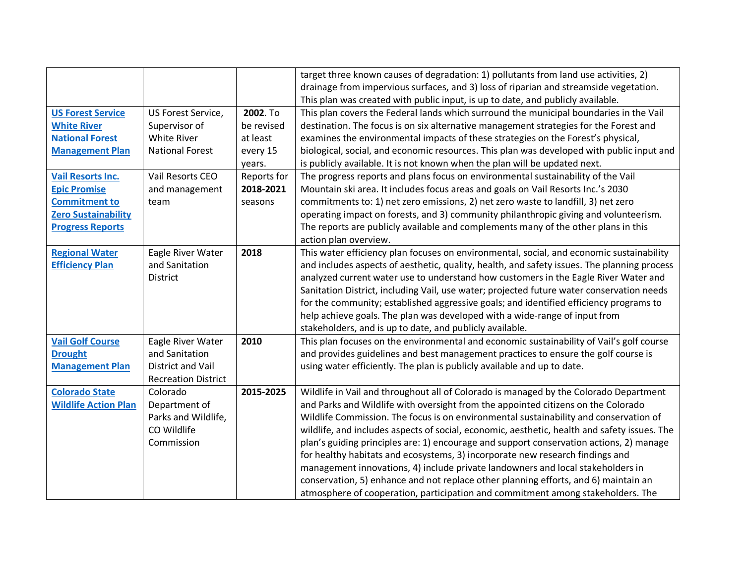|                             |                            |             | target three known causes of degradation: 1) pollutants from land use activities, 2)         |
|-----------------------------|----------------------------|-------------|----------------------------------------------------------------------------------------------|
|                             |                            |             | drainage from impervious surfaces, and 3) loss of riparian and streamside vegetation.        |
|                             |                            |             | This plan was created with public input, is up to date, and publicly available.              |
| <b>US Forest Service</b>    | US Forest Service,         | 2002. To    | This plan covers the Federal lands which surround the municipal boundaries in the Vail       |
| <b>White River</b>          | Supervisor of              | be revised  | destination. The focus is on six alternative management strategies for the Forest and        |
| <b>National Forest</b>      | <b>White River</b>         | at least    | examines the environmental impacts of these strategies on the Forest's physical,             |
| <b>Management Plan</b>      | <b>National Forest</b>     | every 15    | biological, social, and economic resources. This plan was developed with public input and    |
|                             |                            | years.      | is publicly available. It is not known when the plan will be updated next.                   |
| <b>Vail Resorts Inc.</b>    | Vail Resorts CEO           | Reports for | The progress reports and plans focus on environmental sustainability of the Vail             |
| <b>Epic Promise</b>         | and management             | 2018-2021   | Mountain ski area. It includes focus areas and goals on Vail Resorts Inc.'s 2030             |
| <b>Commitment to</b>        | team                       | seasons     | commitments to: 1) net zero emissions, 2) net zero waste to landfill, 3) net zero            |
| <b>Zero Sustainability</b>  |                            |             | operating impact on forests, and 3) community philanthropic giving and volunteerism.         |
| <b>Progress Reports</b>     |                            |             | The reports are publicly available and complements many of the other plans in this           |
|                             |                            |             | action plan overview.                                                                        |
| <b>Regional Water</b>       | Eagle River Water          | 2018        | This water efficiency plan focuses on environmental, social, and economic sustainability     |
| <b>Efficiency Plan</b>      | and Sanitation             |             | and includes aspects of aesthetic, quality, health, and safety issues. The planning process  |
|                             | <b>District</b>            |             | analyzed current water use to understand how customers in the Eagle River Water and          |
|                             |                            |             | Sanitation District, including Vail, use water; projected future water conservation needs    |
|                             |                            |             | for the community; established aggressive goals; and identified efficiency programs to       |
|                             |                            |             | help achieve goals. The plan was developed with a wide-range of input from                   |
|                             |                            |             | stakeholders, and is up to date, and publicly available.                                     |
| <b>Vail Golf Course</b>     | Eagle River Water          | 2010        | This plan focuses on the environmental and economic sustainability of Vail's golf course     |
| <b>Drought</b>              | and Sanitation             |             | and provides guidelines and best management practices to ensure the golf course is           |
| <b>Management Plan</b>      | District and Vail          |             | using water efficiently. The plan is publicly available and up to date.                      |
|                             | <b>Recreation District</b> |             |                                                                                              |
| <b>Colorado State</b>       | Colorado                   | 2015-2025   | Wildlife in Vail and throughout all of Colorado is managed by the Colorado Department        |
| <b>Wildlife Action Plan</b> | Department of              |             | and Parks and Wildlife with oversight from the appointed citizens on the Colorado            |
|                             | Parks and Wildlife,        |             | Wildlife Commission. The focus is on environmental sustainability and conservation of        |
|                             | CO Wildlife                |             | wildlife, and includes aspects of social, economic, aesthetic, health and safety issues. The |
|                             | Commission                 |             | plan's guiding principles are: 1) encourage and support conservation actions, 2) manage      |
|                             |                            |             | for healthy habitats and ecosystems, 3) incorporate new research findings and                |
|                             |                            |             | management innovations, 4) include private landowners and local stakeholders in              |
|                             |                            |             | conservation, 5) enhance and not replace other planning efforts, and 6) maintain an          |
|                             |                            |             | atmosphere of cooperation, participation and commitment among stakeholders. The              |